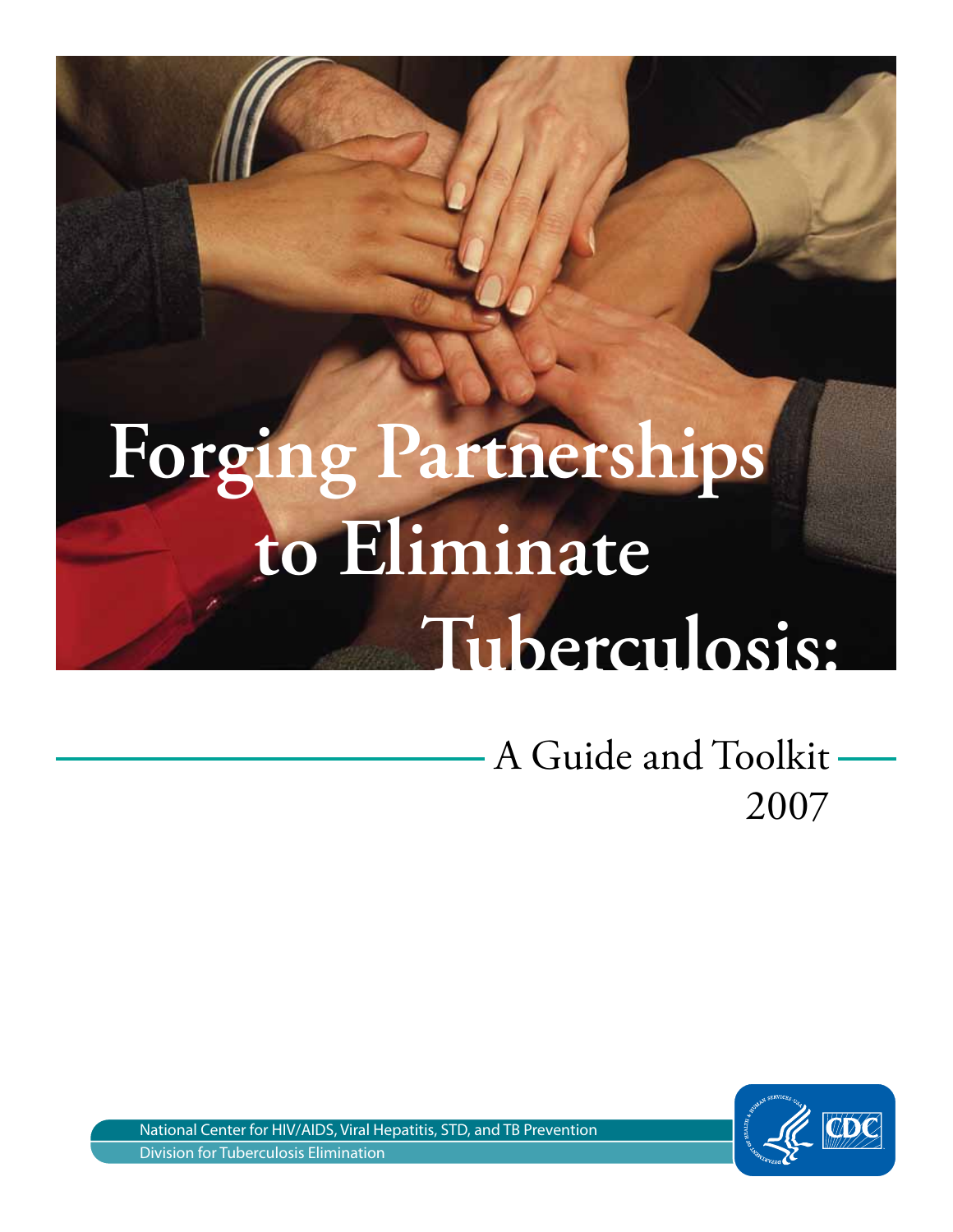# **Forging Partnerships to Eliminate Tuberculosis:**

A Guide and Toolkit  $\overline{a}$ 2007



National Center for HIV/AIDS, Viral Hepatitis, STD, and TB Prevention Division for Tuberculosis Elimination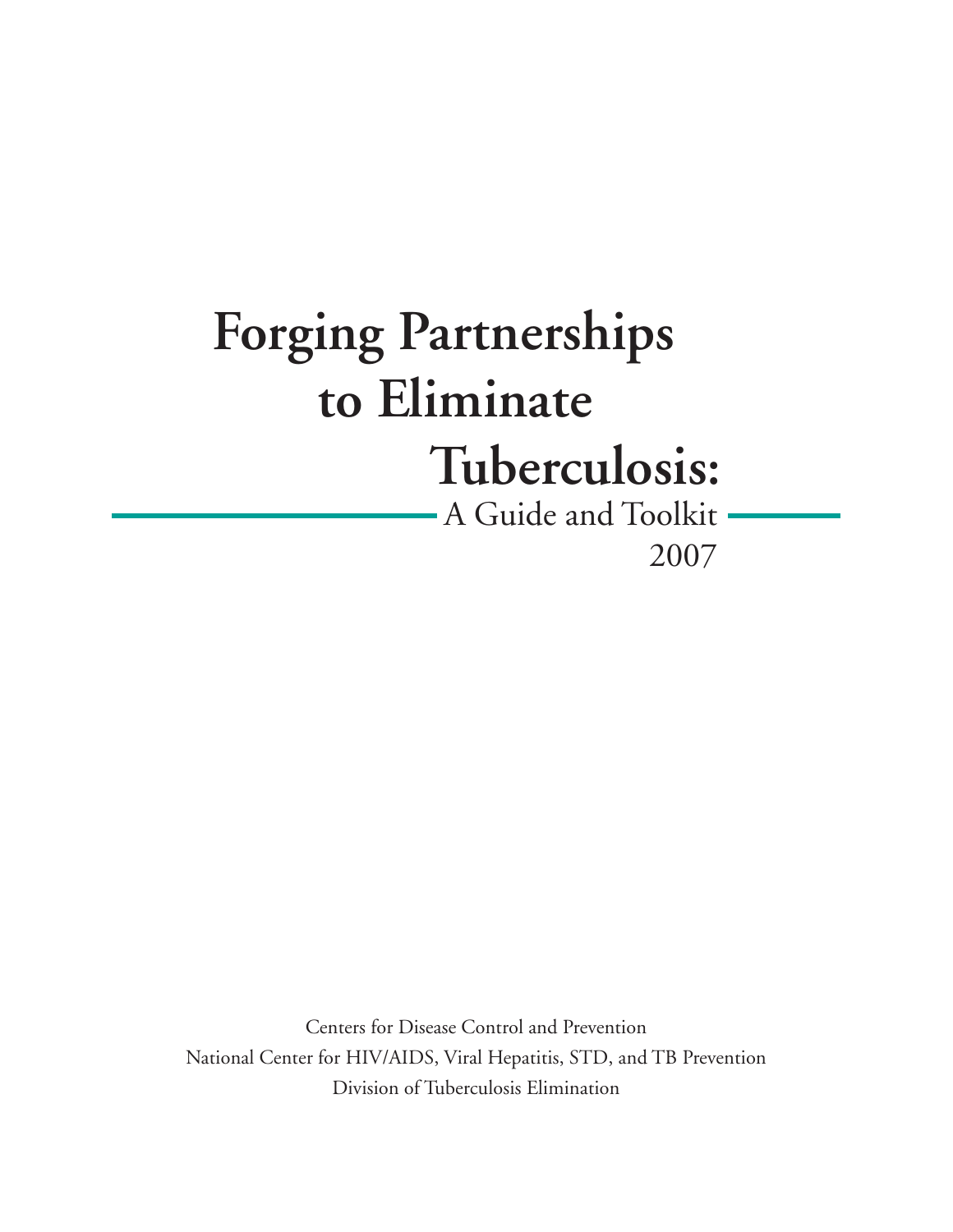## **Forging Partnerships to Eliminate Tuberculosis:**

- A Guide and Toolkit - 2007

Centers for Disease Control and Prevention National Center for HIV/AIDS, Viral Hepatitis, STD, and TB Prevention Division of Tuberculosis Elimination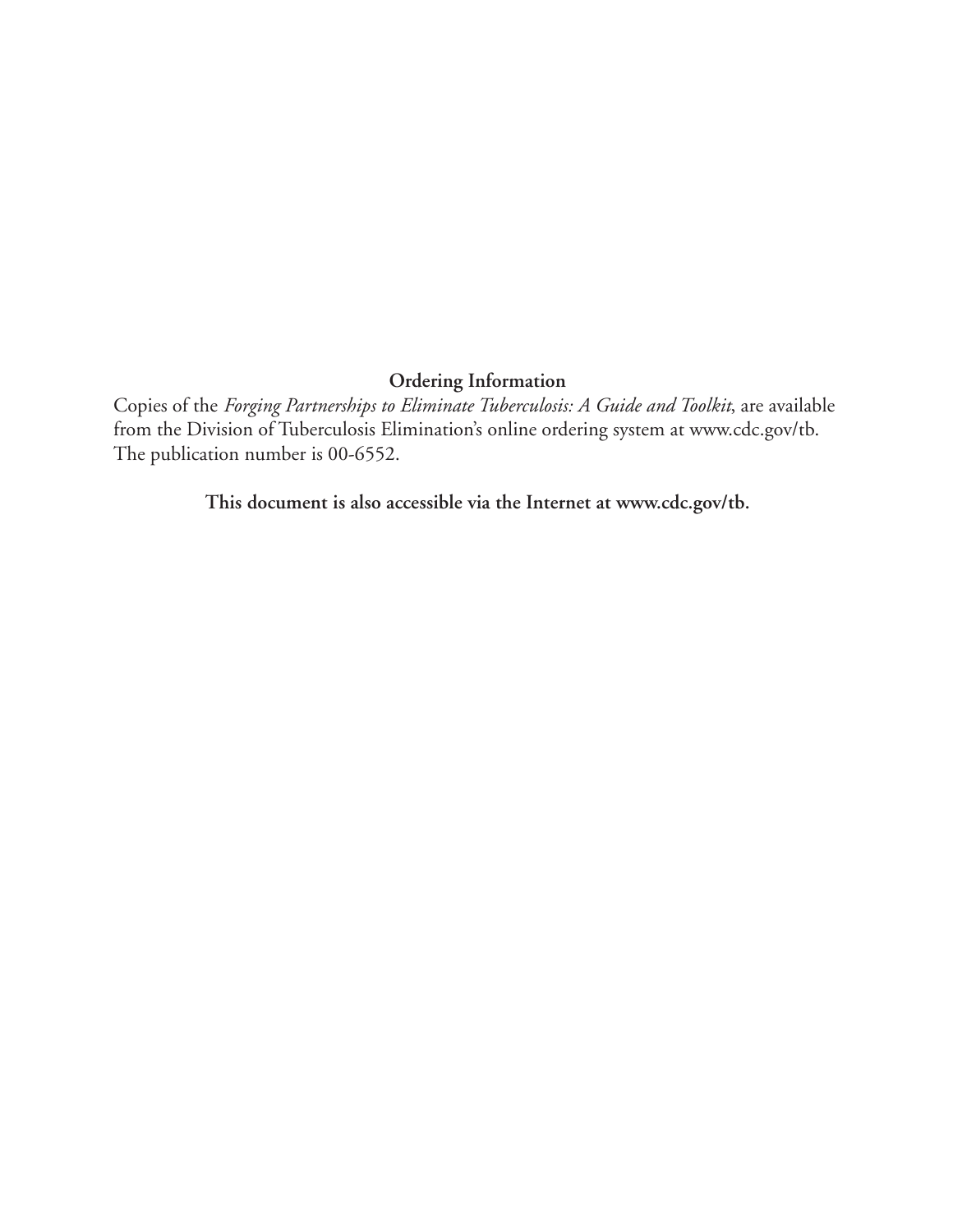### **Ordering Information**

Copies of the *Forging Partnerships to Eliminate Tuberculosis: A Guide and Toolkit*, are available from the Division of Tuberculosis Elimination's online ordering system at www.cdc.gov/tb. The publication number is 00-6552.

**This document is also accessible via the Internet at www.cdc.gov/tb.**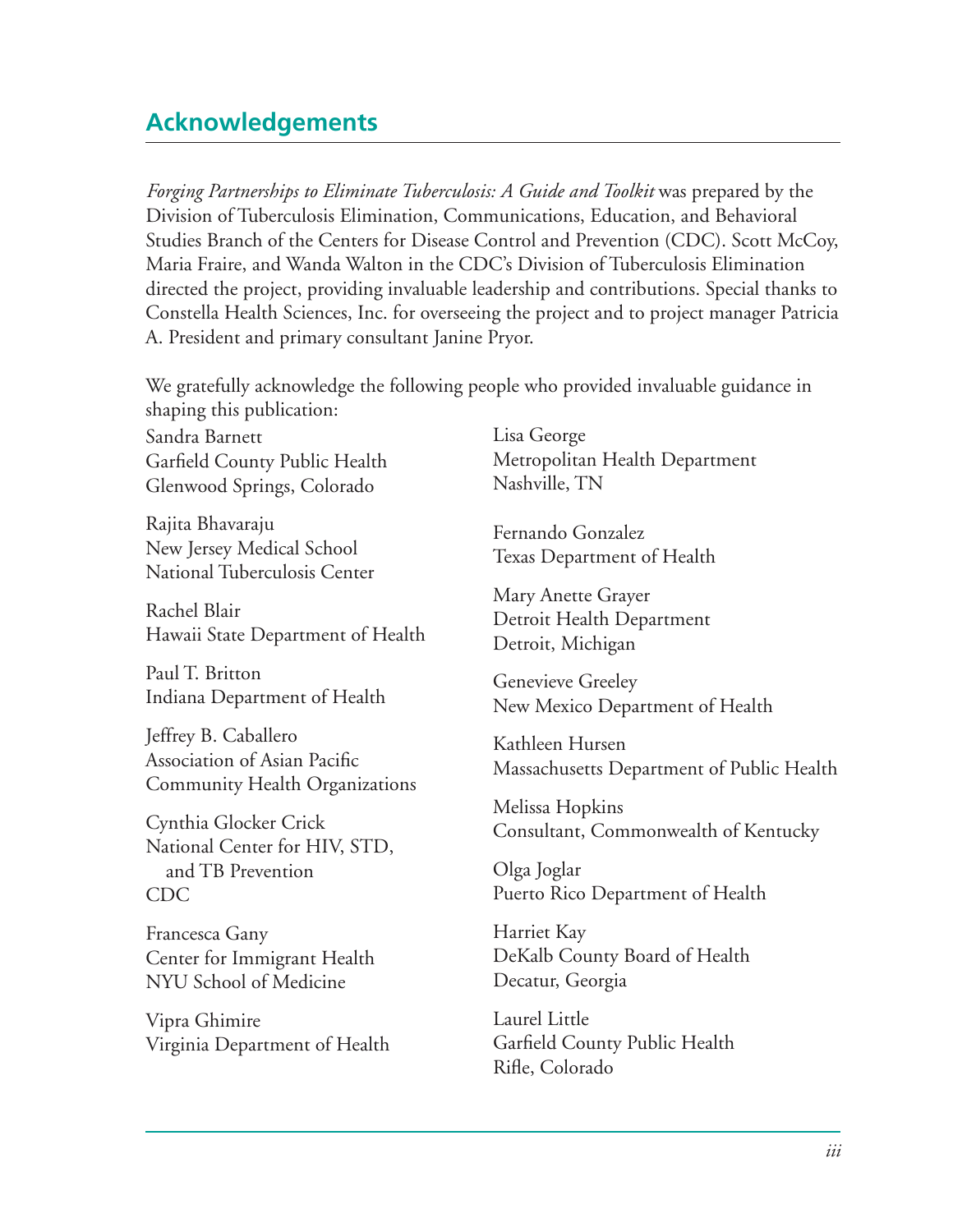### **Acknowledgements**

*Forging Partnerships to Eliminate Tuberculosis: A Guide and Toolkit* was prepared by the Division of Tuberculosis Elimination, Communications, Education, and Behavioral Studies Branch of the Centers for Disease Control and Prevention (CDC). Scott McCoy, Maria Fraire, and Wanda Walton in the CDC's Division of Tuberculosis Elimination directed the project, providing invaluable leadership and contributions. Special thanks to Constella Health Sciences, Inc. for overseeing the project and to project manager Patricia A. President and primary consultant Janine Pryor.

We gratefully acknowledge the following people who provided invaluable guidance in shaping this publication:

Sandra Barnett Garfield County Public Health Glenwood Springs, Colorado

Rajita Bhavaraju New Jersey Medical School National Tuberculosis Center

Rachel Blair Hawaii State Department of Health

Paul T. Britton Indiana Department of Health

Jeffrey B. Caballero Association of Asian Pacific Community Health Organizations 

Cynthia Glocker Crick National Center for HIV, STD, and TB Prevention CDC

Francesca Gany Center for Immigrant Health NYU School of Medicine

Vipra Ghimire Virginia Department of Health Lisa George Metropolitan Health Department Nashville, TN

Fernando Gonzalez Texas Department of Health

Mary Anette Grayer Detroit Health Department Detroit, Michigan

Genevieve Greeley New Mexico Department of Health

Kathleen Hursen Massachusetts Department of Public Health

Melissa Hopkins Consultant, Commonwealth of Kentucky

Olga Joglar Puerto Rico Department of Health

Harriet Kay DeKalb County Board of Health Decatur, Georgia

Laurel Little Garfield County Public Health Rifle, Colorado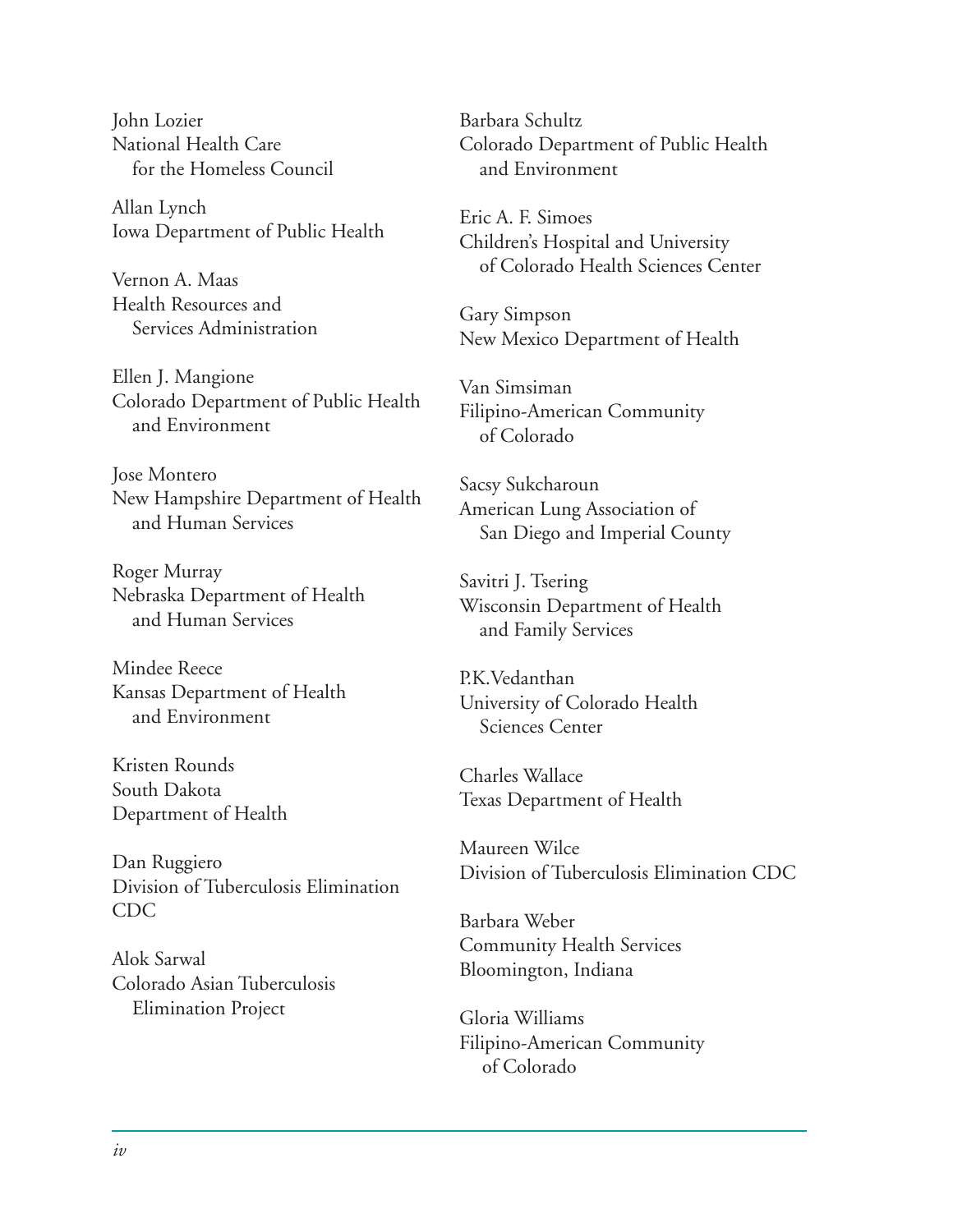John Lozier National Health Care for the Homeless Council

Allan Lynch Iowa Department of Public Health

Vernon A. Maas Health Resources and Services Administration

Ellen J. Mangione Colorado Department of Public Health and Environment

Jose Montero New Hampshire Department of Health and Human Services

Roger Murray Nebraska Department of Health and Human Services

Mindee Reece Kansas Department of Health and Environment

Kristen Rounds South Dakota Department of Health

Dan Ruggiero Division of Tuberculosis Elimination CDC

Alok Sarwal Colorado Asian Tuberculosis Elimination Project

Barbara Schultz Colorado Department of Public Health and Environment

Eric A. F. Simoes Children's Hospital and University of Colorado Health Sciences Center

Gary Simpson New Mexico Department of Health

Van Simsiman Filipino-American Community of Colorado

Sacsy Sukcharoun American Lung Association of San Diego and Imperial County

Savitri J. Tsering Wisconsin Department of Health and Family Services

P.K.Vedanthan University of Colorado Health Sciences Center

Charles Wallace Texas Department of Health

Maureen Wilce Division of Tuberculosis Elimination CDC

Barbara Weber Community Health Services Bloomington, Indiana

Gloria Williams Filipino-American Community of Colorado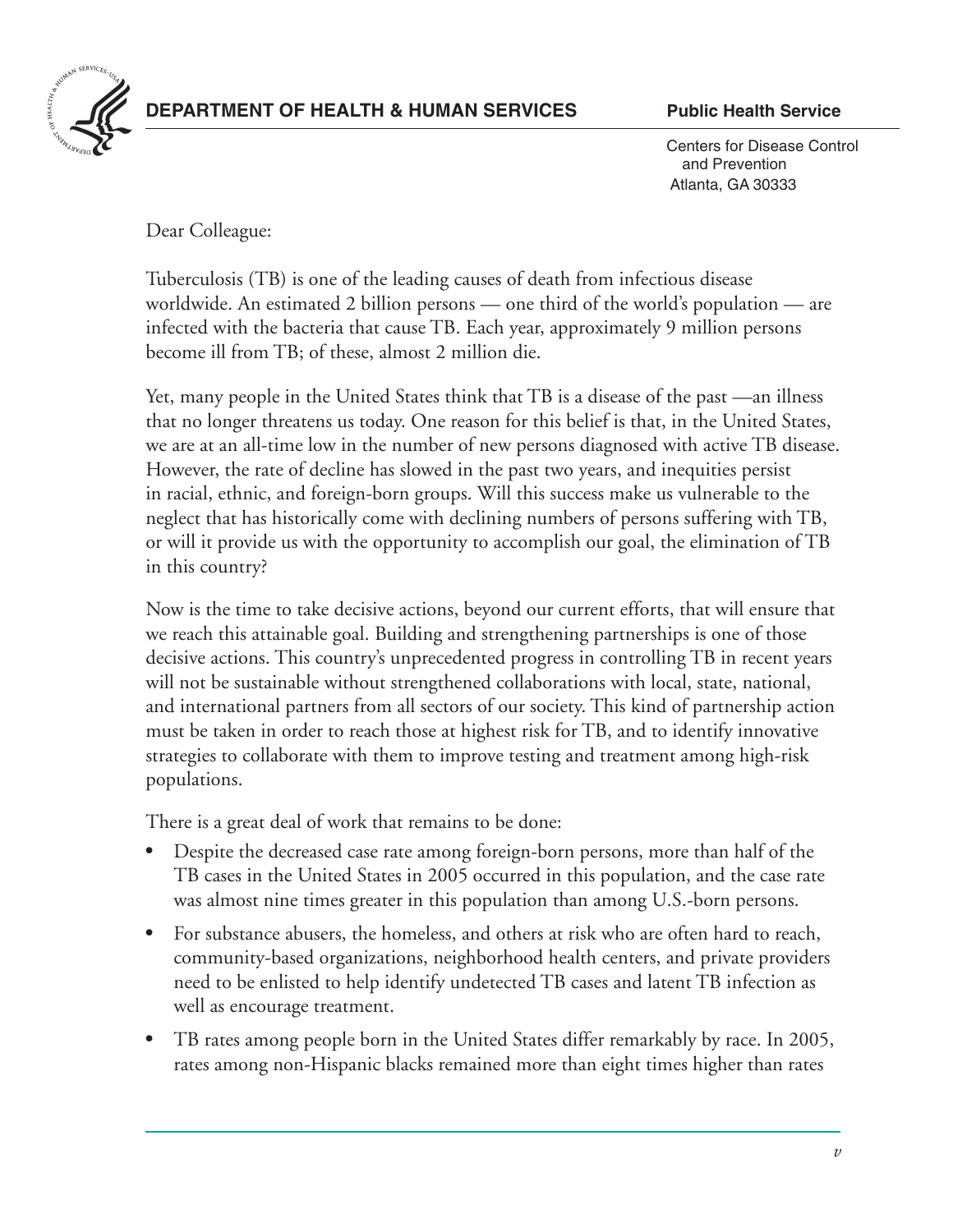

#### **DEPARTMENT OF HEALTH & HUMAN SERVICES** Public Health Service

 Centers for Disease Control and Prevention Atlanta, GA 30333

Dear Colleague:

Tuberculosis (TB) is one of the leading causes of death from infectious disease worldwide. An estimated 2 billion persons — one third of the world's population — are infected with the bacteria that cause TB. Each year, approximately 9 million persons become ill from TB; of these, almost 2 million die.

Yet, many people in the United States think that TB is a disease of the past —an illness that no longer threatens us today. One reason for this belief is that, in the United States, we are at an all-time low in the number of new persons diagnosed with active TB disease. However, the rate of decline has slowed in the past two years, and inequities persist in racial, ethnic, and foreign-born groups. Will this success make us vulnerable to the neglect that has historically come with declining numbers of persons suffering with TB, or will it provide us with the opportunity to accomplish our goal, the elimination of TB in this country?

Now is the time to take decisive actions, beyond our current efforts, that will ensure that we reach this attainable goal. Building and strengthening partnerships is one of those decisive actions. This country's unprecedented progress in controlling TB in recent years will not be sustainable without strengthened collaborations with local, state, national, and international partners from all sectors of our society. This kind of partnership action must be taken in order to reach those at highest risk for TB, and to identify innovative strategies to collaborate with them to improve testing and treatment among high-risk populations.

There is a great deal of work that remains to be done:

- Despite the decreased case rate among foreign-born persons, more than half of the TB cases in the United States in 2005 occurred in this population, and the case rate was almost nine times greater in this population than among U.S.-born persons.
- For substance abusers, the homeless, and others at risk who are often hard to reach, community-based organizations, neighborhood health centers, and private providers need to be enlisted to help identify undetected TB cases and latent TB infection as well as encourage treatment.
- TB rates among people born in the United States differ remarkably by race. In 2005, rates among non-Hispanic blacks remained more than eight times higher than rates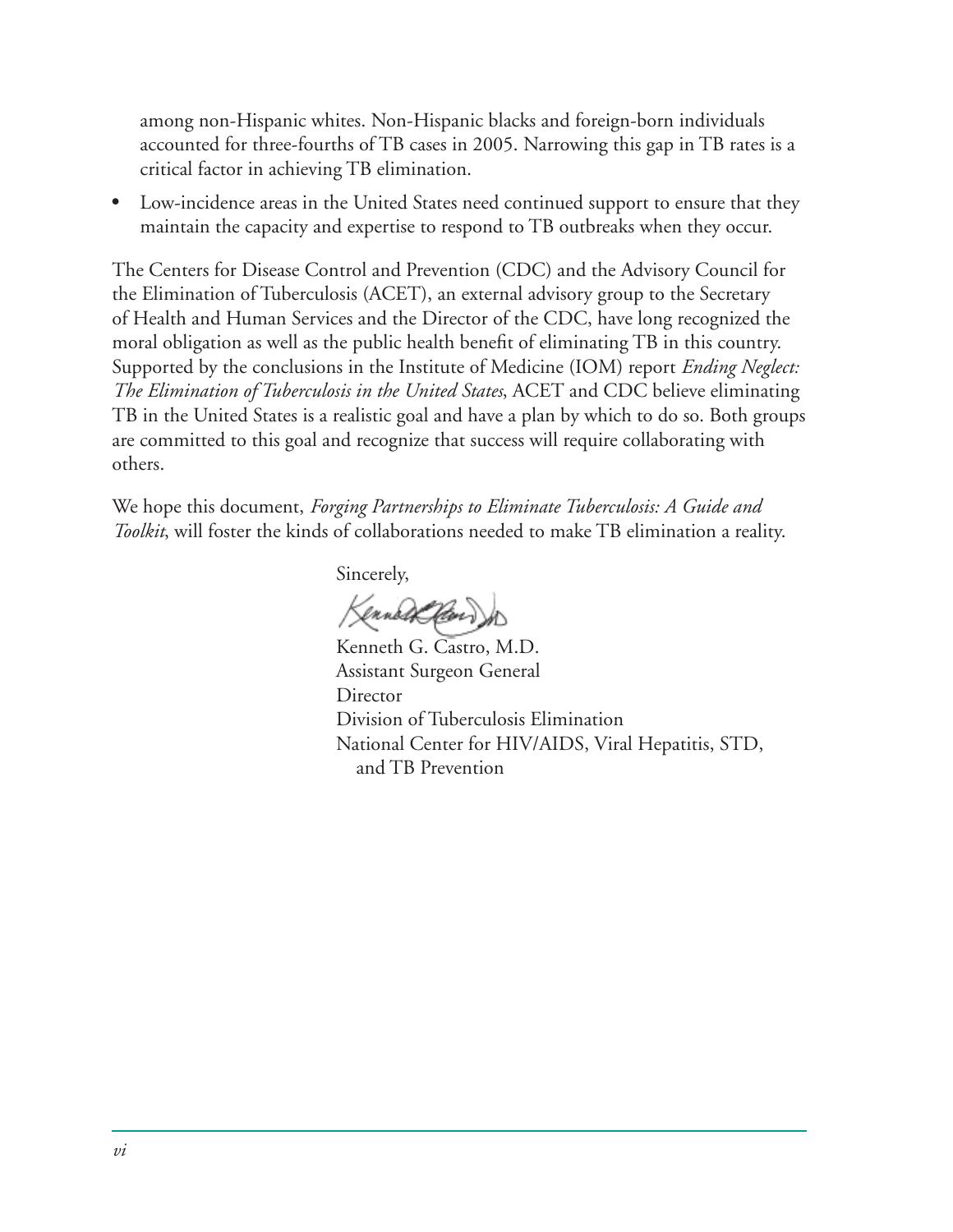among non-Hispanic whites. Non-Hispanic blacks and foreign-born individuals accounted for three-fourths of TB cases in 2005. Narrowing this gap in TB rates is a critical factor in achieving TB elimination.

Low-incidence areas in the United States need continued support to ensure that they maintain the capacity and expertise to respond to TB outbreaks when they occur.

The Centers for Disease Control and Prevention (CDC) and the Advisory Council for the Elimination of Tuberculosis (ACET), an external advisory group to the Secretary of Health and Human Services and the Director of the CDC, have long recognized the moral obligation as well as the public health benefit of eliminating TB in this country. Supported by the conclusions in the Institute of Medicine (IOM) report *Ending Neglect: The Elimination of Tuberculosis in the United States*, ACET and CDC believe eliminating TB in the United States is a realistic goal and have a plan by which to do so. Both groups are committed to this goal and recognize that success will require collaborating with others. 

We hope this document, *Forging Partnerships to Eliminate Tuberculosis: A Guide and Toolkit*, will foster the kinds of collaborations needed to make TB elimination a reality.

 Sincerely,

Kenned Clevi

Kenneth G. Castro, M.D. Assistant Surgeon General Director Division of Tuberculosis Elimination National Center for HIV/AIDS, Viral Hepatitis, STD, and TB Prevention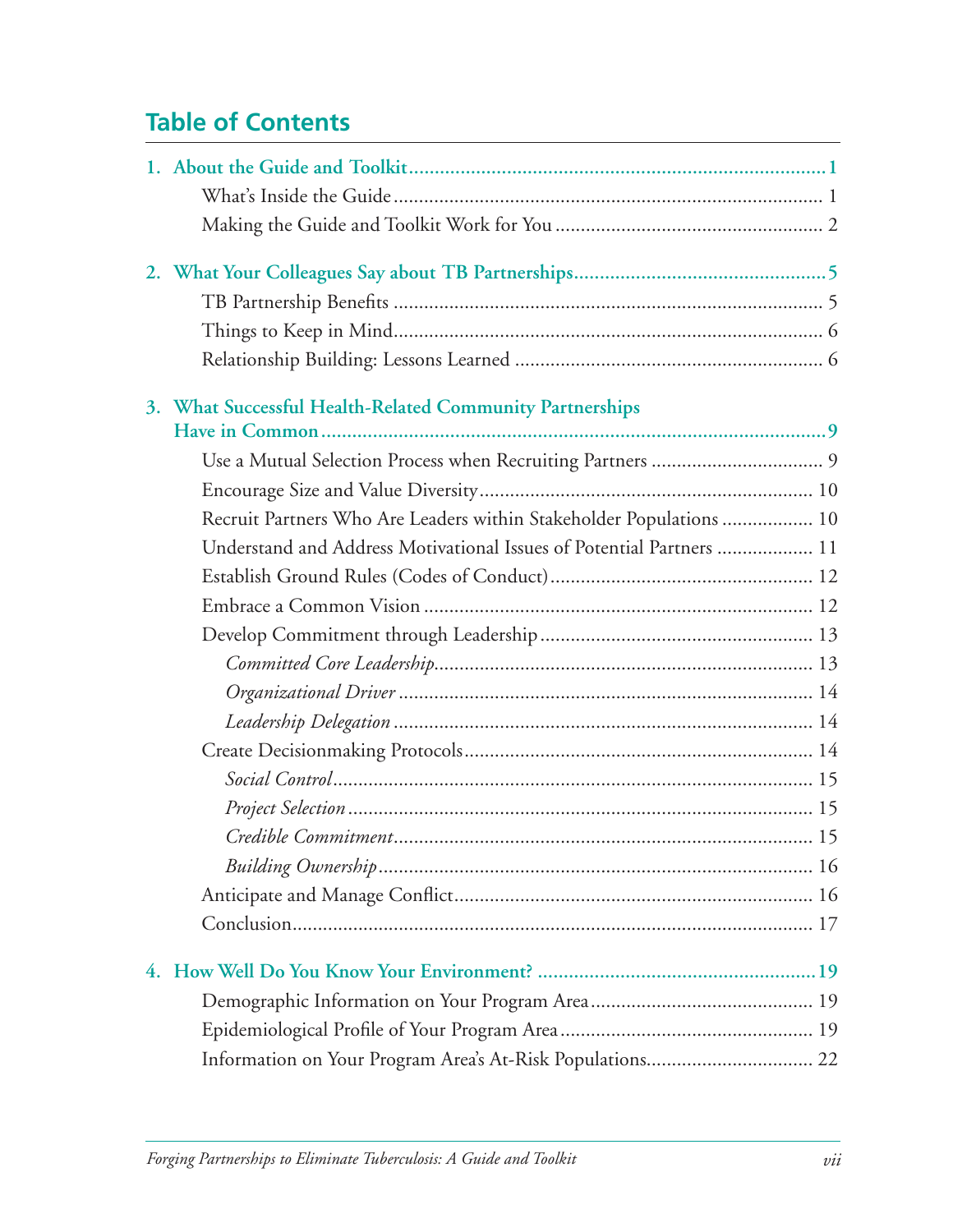## **Table of Contents**

| 3. What Successful Health-Related Community Partnerships             |  |
|----------------------------------------------------------------------|--|
|                                                                      |  |
|                                                                      |  |
|                                                                      |  |
| Recruit Partners Who Are Leaders within Stakeholder Populations  10  |  |
| Understand and Address Motivational Issues of Potential Partners  11 |  |
|                                                                      |  |
|                                                                      |  |
|                                                                      |  |
|                                                                      |  |
|                                                                      |  |
|                                                                      |  |
|                                                                      |  |
|                                                                      |  |
|                                                                      |  |
|                                                                      |  |
|                                                                      |  |
|                                                                      |  |
|                                                                      |  |
|                                                                      |  |
|                                                                      |  |
|                                                                      |  |
|                                                                      |  |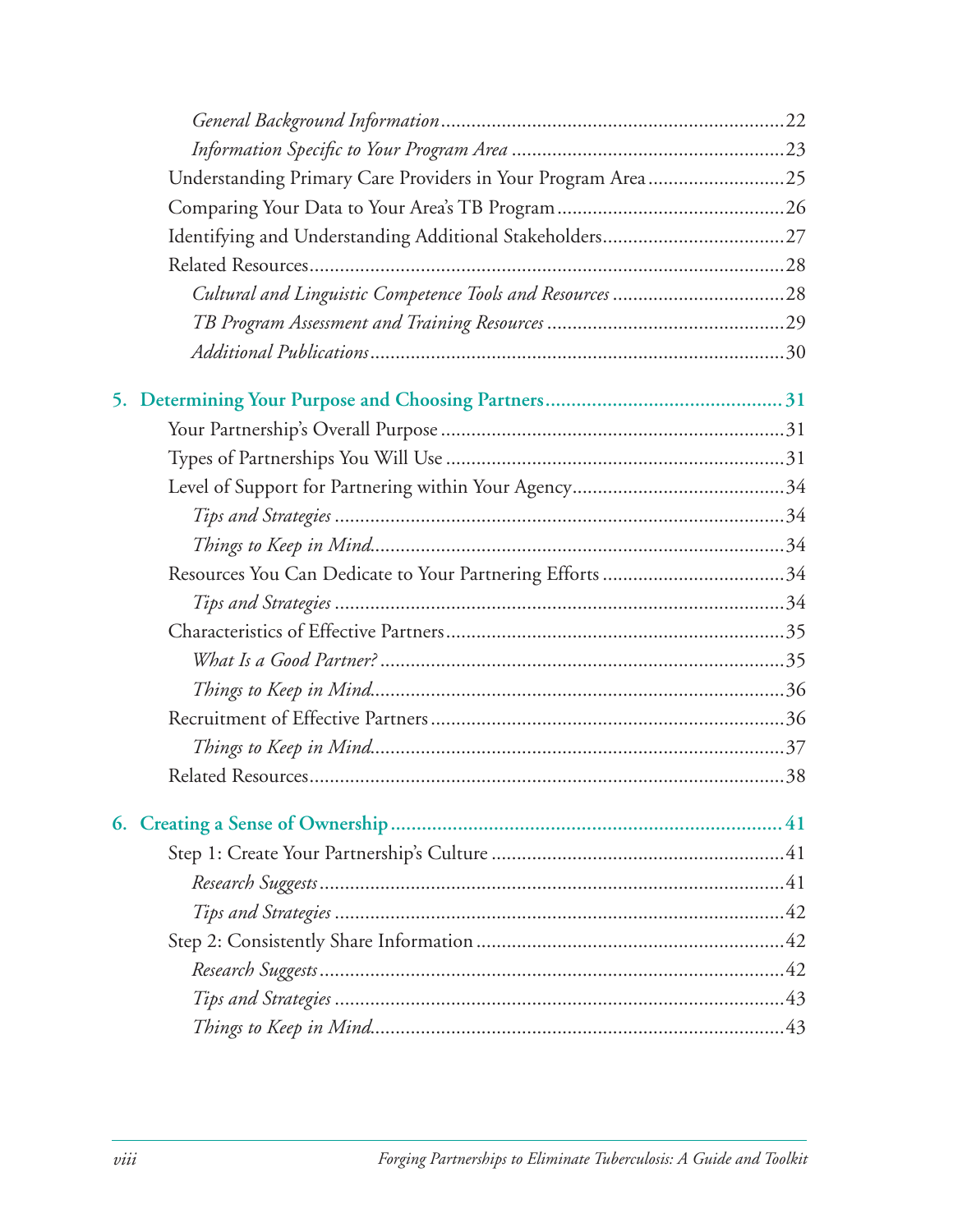| Understanding Primary Care Providers in Your Program Area25 |  |
|-------------------------------------------------------------|--|
|                                                             |  |
|                                                             |  |
|                                                             |  |
|                                                             |  |
|                                                             |  |
|                                                             |  |
|                                                             |  |
|                                                             |  |
|                                                             |  |
|                                                             |  |
|                                                             |  |
|                                                             |  |
|                                                             |  |
|                                                             |  |
|                                                             |  |
|                                                             |  |
|                                                             |  |
|                                                             |  |
|                                                             |  |
|                                                             |  |
|                                                             |  |
|                                                             |  |
|                                                             |  |
|                                                             |  |
|                                                             |  |
|                                                             |  |
|                                                             |  |
|                                                             |  |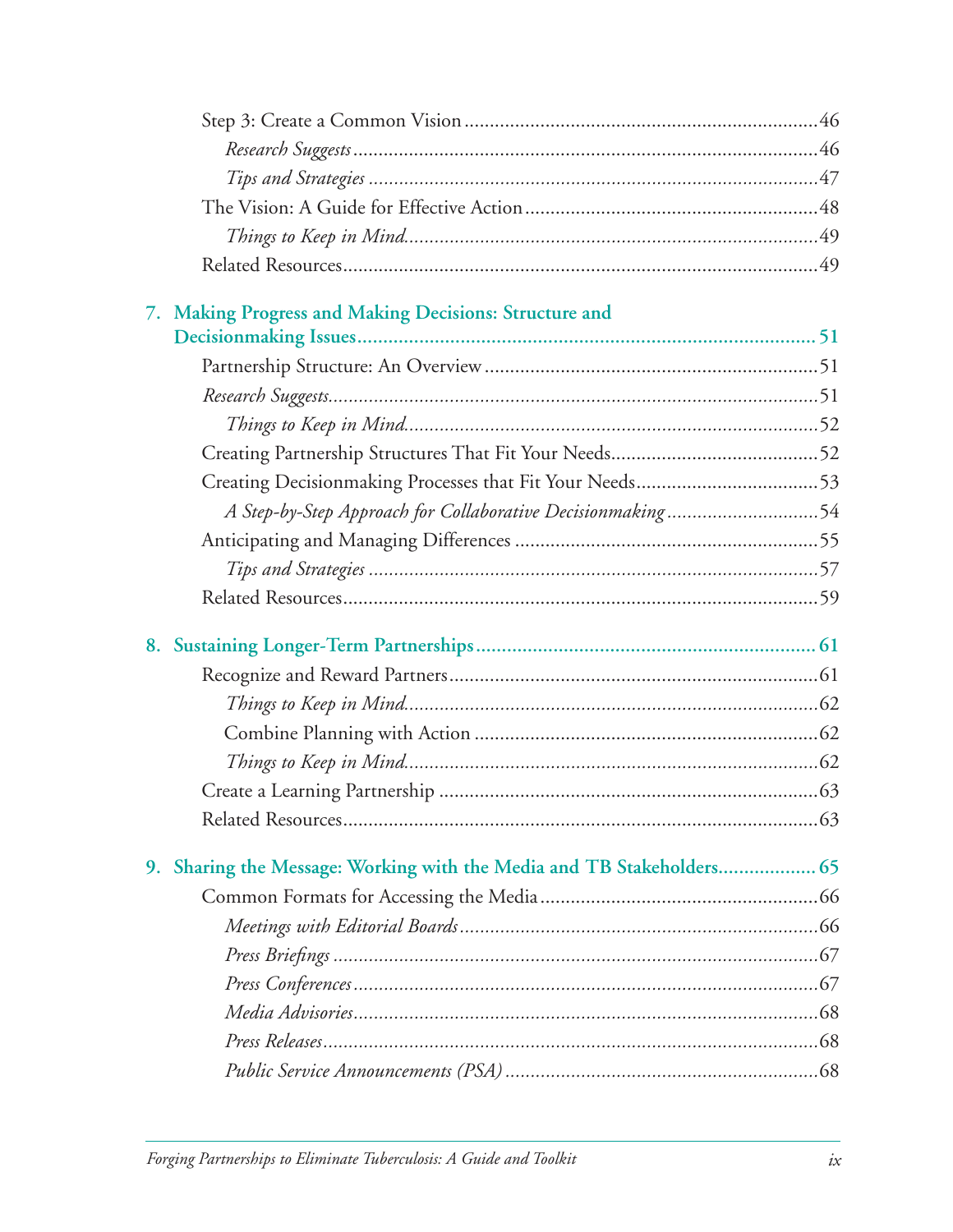| 7. Making Progress and Making Decisions: Structure and                |  |
|-----------------------------------------------------------------------|--|
|                                                                       |  |
|                                                                       |  |
|                                                                       |  |
|                                                                       |  |
|                                                                       |  |
|                                                                       |  |
| A Step-by-Step Approach for Collaborative Decisionmaking54            |  |
|                                                                       |  |
|                                                                       |  |
|                                                                       |  |
|                                                                       |  |
|                                                                       |  |
|                                                                       |  |
|                                                                       |  |
|                                                                       |  |
|                                                                       |  |
|                                                                       |  |
| 9. Sharing the Message: Working with the Media and TB Stakeholders 65 |  |
|                                                                       |  |
|                                                                       |  |
|                                                                       |  |
|                                                                       |  |
|                                                                       |  |
|                                                                       |  |
|                                                                       |  |
|                                                                       |  |